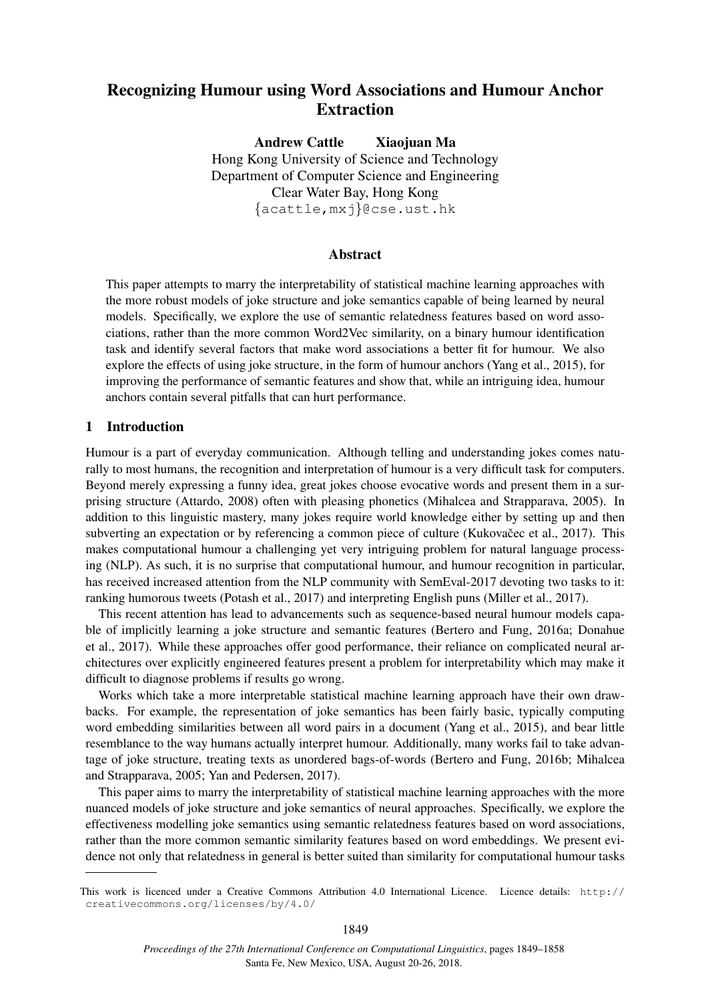# Recognizing Humour using Word Associations and Humour Anchor Extraction

Andrew Cattle Xiaojuan Ma Hong Kong University of Science and Technology Department of Computer Science and Engineering Clear Water Bay, Hong Kong {acattle,mxj}@cse.ust.hk

## Abstract

This paper attempts to marry the interpretability of statistical machine learning approaches with the more robust models of joke structure and joke semantics capable of being learned by neural models. Specifically, we explore the use of semantic relatedness features based on word associations, rather than the more common Word2Vec similarity, on a binary humour identification task and identify several factors that make word associations a better fit for humour. We also explore the effects of using joke structure, in the form of humour anchors (Yang et al., 2015), for improving the performance of semantic features and show that, while an intriguing idea, humour anchors contain several pitfalls that can hurt performance.

## 1 Introduction

Humour is a part of everyday communication. Although telling and understanding jokes comes naturally to most humans, the recognition and interpretation of humour is a very difficult task for computers. Beyond merely expressing a funny idea, great jokes choose evocative words and present them in a surprising structure (Attardo, 2008) often with pleasing phonetics (Mihalcea and Strapparava, 2005). In addition to this linguistic mastery, many jokes require world knowledge either by setting up and then subverting an expectation or by referencing a common piece of culture (Kukovacec et al., 2017). This makes computational humour a challenging yet very intriguing problem for natural language processing (NLP). As such, it is no surprise that computational humour, and humour recognition in particular, has received increased attention from the NLP community with SemEval-2017 devoting two tasks to it: ranking humorous tweets (Potash et al., 2017) and interpreting English puns (Miller et al., 2017).

This recent attention has lead to advancements such as sequence-based neural humour models capable of implicitly learning a joke structure and semantic features (Bertero and Fung, 2016a; Donahue et al., 2017). While these approaches offer good performance, their reliance on complicated neural architectures over explicitly engineered features present a problem for interpretability which may make it difficult to diagnose problems if results go wrong.

Works which take a more interpretable statistical machine learning approach have their own drawbacks. For example, the representation of joke semantics has been fairly basic, typically computing word embedding similarities between all word pairs in a document (Yang et al., 2015), and bear little resemblance to the way humans actually interpret humour. Additionally, many works fail to take advantage of joke structure, treating texts as unordered bags-of-words (Bertero and Fung, 2016b; Mihalcea and Strapparava, 2005; Yan and Pedersen, 2017).

This paper aims to marry the interpretability of statistical machine learning approaches with the more nuanced models of joke structure and joke semantics of neural approaches. Specifically, we explore the effectiveness modelling joke semantics using semantic relatedness features based on word associations, rather than the more common semantic similarity features based on word embeddings. We present evidence not only that relatedness in general is better suited than similarity for computational humour tasks

This work is licenced under a Creative Commons Attribution 4.0 International Licence. Licence details: http:// creativecommons.org/licenses/by/4.0/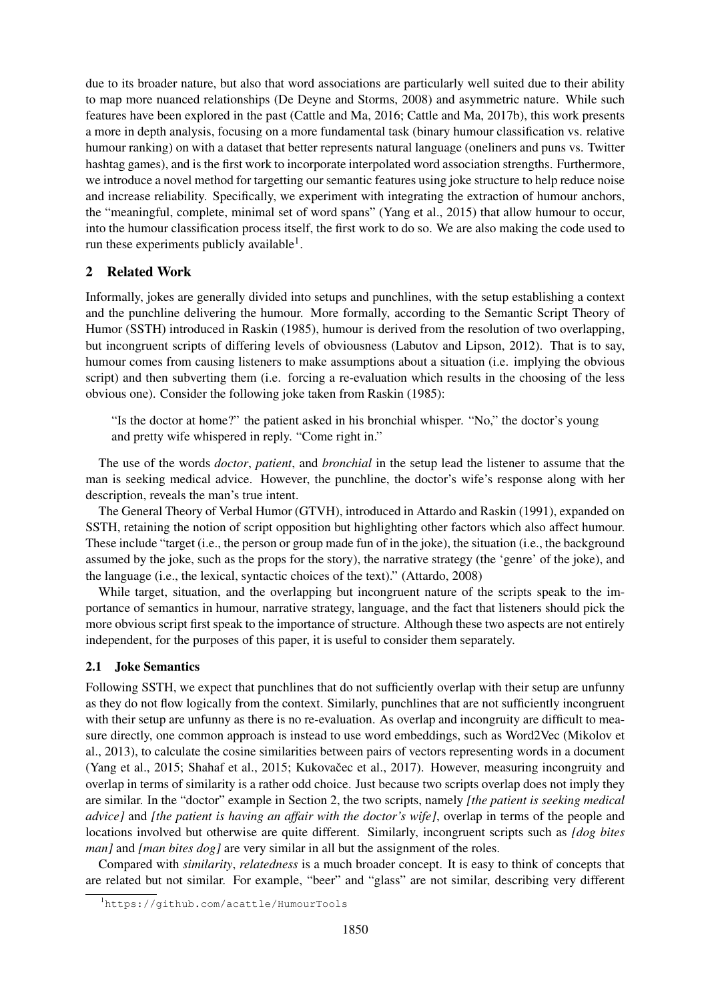due to its broader nature, but also that word associations are particularly well suited due to their ability to map more nuanced relationships (De Deyne and Storms, 2008) and asymmetric nature. While such features have been explored in the past (Cattle and Ma, 2016; Cattle and Ma, 2017b), this work presents a more in depth analysis, focusing on a more fundamental task (binary humour classification vs. relative humour ranking) on with a dataset that better represents natural language (oneliners and puns vs. Twitter hashtag games), and is the first work to incorporate interpolated word association strengths. Furthermore, we introduce a novel method for targetting our semantic features using joke structure to help reduce noise and increase reliability. Specifically, we experiment with integrating the extraction of humour anchors, the "meaningful, complete, minimal set of word spans" (Yang et al., 2015) that allow humour to occur, into the humour classification process itself, the first work to do so. We are also making the code used to run these experiments publicly available<sup>1</sup>.

# 2 Related Work

Informally, jokes are generally divided into setups and punchlines, with the setup establishing a context and the punchline delivering the humour. More formally, according to the Semantic Script Theory of Humor (SSTH) introduced in Raskin (1985), humour is derived from the resolution of two overlapping, but incongruent scripts of differing levels of obviousness (Labutov and Lipson, 2012). That is to say, humour comes from causing listeners to make assumptions about a situation (i.e. implying the obvious script) and then subverting them (i.e. forcing a re-evaluation which results in the choosing of the less obvious one). Consider the following joke taken from Raskin (1985):

"Is the doctor at home?" the patient asked in his bronchial whisper. "No," the doctor's young and pretty wife whispered in reply. "Come right in."

The use of the words *doctor*, *patient*, and *bronchial* in the setup lead the listener to assume that the man is seeking medical advice. However, the punchline, the doctor's wife's response along with her description, reveals the man's true intent.

The General Theory of Verbal Humor (GTVH), introduced in Attardo and Raskin (1991), expanded on SSTH, retaining the notion of script opposition but highlighting other factors which also affect humour. These include "target (i.e., the person or group made fun of in the joke), the situation (i.e., the background assumed by the joke, such as the props for the story), the narrative strategy (the 'genre' of the joke), and the language (i.e., the lexical, syntactic choices of the text)." (Attardo, 2008)

While target, situation, and the overlapping but incongruent nature of the scripts speak to the importance of semantics in humour, narrative strategy, language, and the fact that listeners should pick the more obvious script first speak to the importance of structure. Although these two aspects are not entirely independent, for the purposes of this paper, it is useful to consider them separately.

# 2.1 Joke Semantics

Following SSTH, we expect that punchlines that do not sufficiently overlap with their setup are unfunny as they do not flow logically from the context. Similarly, punchlines that are not sufficiently incongruent with their setup are unfunny as there is no re-evaluation. As overlap and incongruity are difficult to measure directly, one common approach is instead to use word embeddings, such as Word2Vec (Mikolov et al., 2013), to calculate the cosine similarities between pairs of vectors representing words in a document (Yang et al., 2015; Shahaf et al., 2015; Kukovačec et al., 2017). However, measuring incongruity and overlap in terms of similarity is a rather odd choice. Just because two scripts overlap does not imply they are similar. In the "doctor" example in Section 2, the two scripts, namely *[the patient is seeking medical advice]* and *[the patient is having an affair with the doctor's wife]*, overlap in terms of the people and locations involved but otherwise are quite different. Similarly, incongruent scripts such as *[dog bites man]* and *[man bites dog]* are very similar in all but the assignment of the roles.

Compared with *similarity*, *relatedness* is a much broader concept. It is easy to think of concepts that are related but not similar. For example, "beer" and "glass" are not similar, describing very different

<sup>1</sup>https://github.com/acattle/HumourTools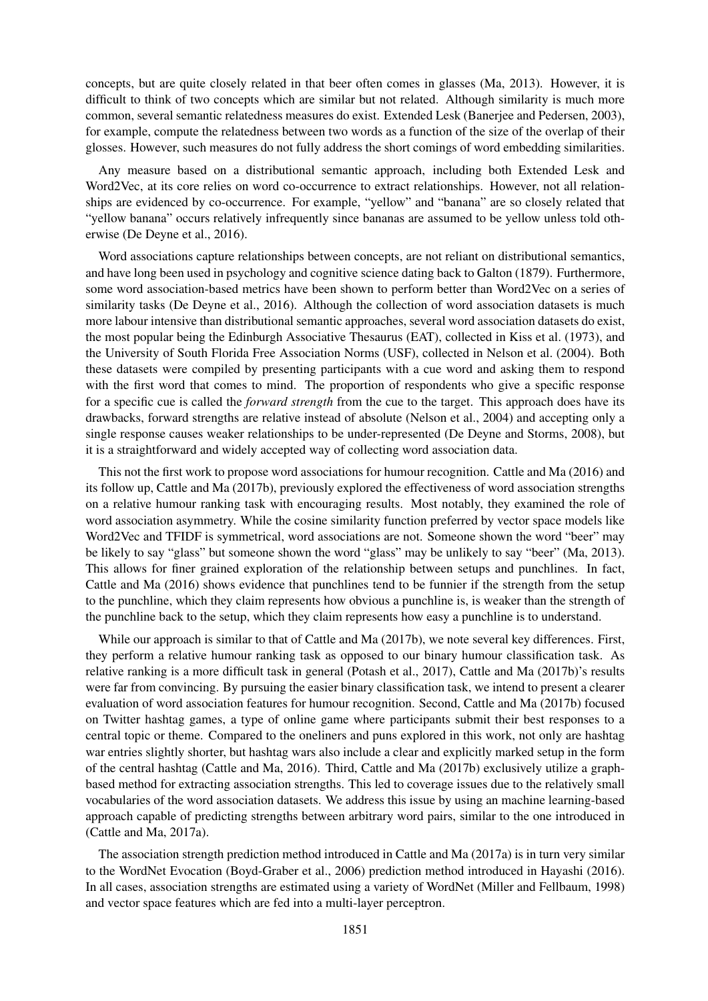concepts, but are quite closely related in that beer often comes in glasses (Ma, 2013). However, it is difficult to think of two concepts which are similar but not related. Although similarity is much more common, several semantic relatedness measures do exist. Extended Lesk (Banerjee and Pedersen, 2003), for example, compute the relatedness between two words as a function of the size of the overlap of their glosses. However, such measures do not fully address the short comings of word embedding similarities.

Any measure based on a distributional semantic approach, including both Extended Lesk and Word2Vec, at its core relies on word co-occurrence to extract relationships. However, not all relationships are evidenced by co-occurrence. For example, "yellow" and "banana" are so closely related that "yellow banana" occurs relatively infrequently since bananas are assumed to be yellow unless told otherwise (De Deyne et al., 2016).

Word associations capture relationships between concepts, are not reliant on distributional semantics, and have long been used in psychology and cognitive science dating back to Galton (1879). Furthermore, some word association-based metrics have been shown to perform better than Word2Vec on a series of similarity tasks (De Deyne et al., 2016). Although the collection of word association datasets is much more labour intensive than distributional semantic approaches, several word association datasets do exist, the most popular being the Edinburgh Associative Thesaurus (EAT), collected in Kiss et al. (1973), and the University of South Florida Free Association Norms (USF), collected in Nelson et al. (2004). Both these datasets were compiled by presenting participants with a cue word and asking them to respond with the first word that comes to mind. The proportion of respondents who give a specific response for a specific cue is called the *forward strength* from the cue to the target. This approach does have its drawbacks, forward strengths are relative instead of absolute (Nelson et al., 2004) and accepting only a single response causes weaker relationships to be under-represented (De Deyne and Storms, 2008), but it is a straightforward and widely accepted way of collecting word association data.

This not the first work to propose word associations for humour recognition. Cattle and Ma (2016) and its follow up, Cattle and Ma (2017b), previously explored the effectiveness of word association strengths on a relative humour ranking task with encouraging results. Most notably, they examined the role of word association asymmetry. While the cosine similarity function preferred by vector space models like Word2Vec and TFIDF is symmetrical, word associations are not. Someone shown the word "beer" may be likely to say "glass" but someone shown the word "glass" may be unlikely to say "beer" (Ma, 2013). This allows for finer grained exploration of the relationship between setups and punchlines. In fact, Cattle and Ma (2016) shows evidence that punchlines tend to be funnier if the strength from the setup to the punchline, which they claim represents how obvious a punchline is, is weaker than the strength of the punchline back to the setup, which they claim represents how easy a punchline is to understand.

While our approach is similar to that of Cattle and Ma (2017b), we note several key differences. First, they perform a relative humour ranking task as opposed to our binary humour classification task. As relative ranking is a more difficult task in general (Potash et al., 2017), Cattle and Ma (2017b)'s results were far from convincing. By pursuing the easier binary classification task, we intend to present a clearer evaluation of word association features for humour recognition. Second, Cattle and Ma (2017b) focused on Twitter hashtag games, a type of online game where participants submit their best responses to a central topic or theme. Compared to the oneliners and puns explored in this work, not only are hashtag war entries slightly shorter, but hashtag wars also include a clear and explicitly marked setup in the form of the central hashtag (Cattle and Ma, 2016). Third, Cattle and Ma (2017b) exclusively utilize a graphbased method for extracting association strengths. This led to coverage issues due to the relatively small vocabularies of the word association datasets. We address this issue by using an machine learning-based approach capable of predicting strengths between arbitrary word pairs, similar to the one introduced in (Cattle and Ma, 2017a).

The association strength prediction method introduced in Cattle and Ma (2017a) is in turn very similar to the WordNet Evocation (Boyd-Graber et al., 2006) prediction method introduced in Hayashi (2016). In all cases, association strengths are estimated using a variety of WordNet (Miller and Fellbaum, 1998) and vector space features which are fed into a multi-layer perceptron.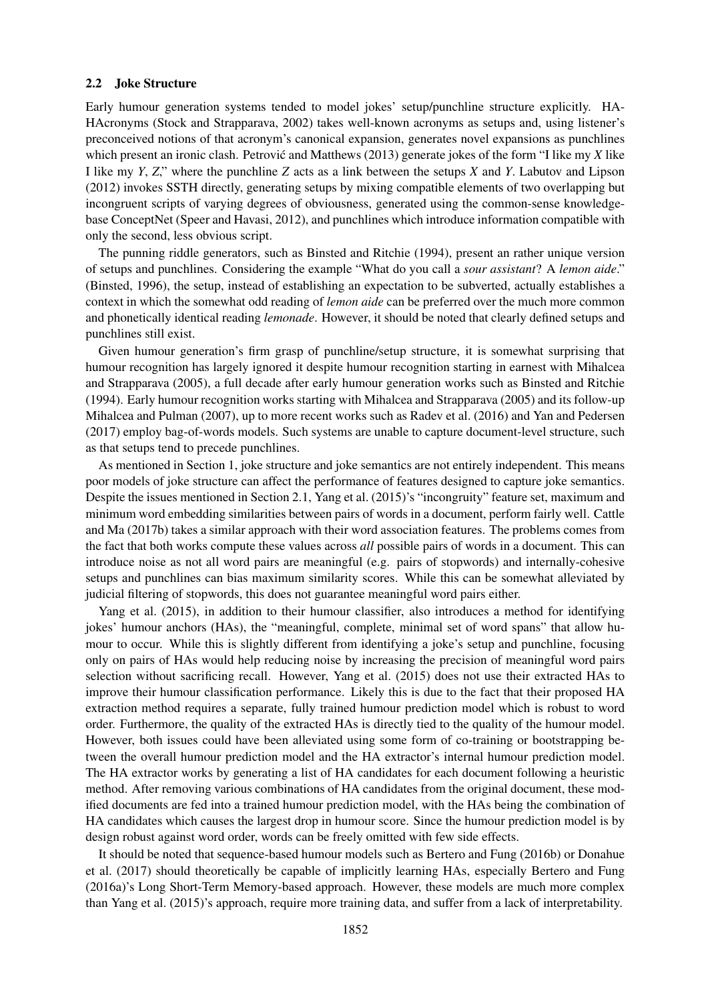#### 2.2 Joke Structure

Early humour generation systems tended to model jokes' setup/punchline structure explicitly. HA-HAcronyms (Stock and Strapparava, 2002) takes well-known acronyms as setups and, using listener's preconceived notions of that acronym's canonical expansion, generates novel expansions as punchlines which present an ironic clash. Petrovic and Matthews (2013) generate jokes of the form "I like my X like" I like my *Y*, *Z*," where the punchline *Z* acts as a link between the setups *X* and *Y*. Labutov and Lipson (2012) invokes SSTH directly, generating setups by mixing compatible elements of two overlapping but incongruent scripts of varying degrees of obviousness, generated using the common-sense knowledgebase ConceptNet (Speer and Havasi, 2012), and punchlines which introduce information compatible with only the second, less obvious script.

The punning riddle generators, such as Binsted and Ritchie (1994), present an rather unique version of setups and punchlines. Considering the example "What do you call a *sour assistant*? A *lemon aide*." (Binsted, 1996), the setup, instead of establishing an expectation to be subverted, actually establishes a context in which the somewhat odd reading of *lemon aide* can be preferred over the much more common and phonetically identical reading *lemonade*. However, it should be noted that clearly defined setups and punchlines still exist.

Given humour generation's firm grasp of punchline/setup structure, it is somewhat surprising that humour recognition has largely ignored it despite humour recognition starting in earnest with Mihalcea and Strapparava (2005), a full decade after early humour generation works such as Binsted and Ritchie (1994). Early humour recognition works starting with Mihalcea and Strapparava (2005) and its follow-up Mihalcea and Pulman (2007), up to more recent works such as Radev et al. (2016) and Yan and Pedersen (2017) employ bag-of-words models. Such systems are unable to capture document-level structure, such as that setups tend to precede punchlines.

As mentioned in Section 1, joke structure and joke semantics are not entirely independent. This means poor models of joke structure can affect the performance of features designed to capture joke semantics. Despite the issues mentioned in Section 2.1, Yang et al. (2015)'s "incongruity" feature set, maximum and minimum word embedding similarities between pairs of words in a document, perform fairly well. Cattle and Ma (2017b) takes a similar approach with their word association features. The problems comes from the fact that both works compute these values across *all* possible pairs of words in a document. This can introduce noise as not all word pairs are meaningful (e.g. pairs of stopwords) and internally-cohesive setups and punchlines can bias maximum similarity scores. While this can be somewhat alleviated by judicial filtering of stopwords, this does not guarantee meaningful word pairs either.

Yang et al. (2015), in addition to their humour classifier, also introduces a method for identifying jokes' humour anchors (HAs), the "meaningful, complete, minimal set of word spans" that allow humour to occur. While this is slightly different from identifying a joke's setup and punchline, focusing only on pairs of HAs would help reducing noise by increasing the precision of meaningful word pairs selection without sacrificing recall. However, Yang et al. (2015) does not use their extracted HAs to improve their humour classification performance. Likely this is due to the fact that their proposed HA extraction method requires a separate, fully trained humour prediction model which is robust to word order. Furthermore, the quality of the extracted HAs is directly tied to the quality of the humour model. However, both issues could have been alleviated using some form of co-training or bootstrapping between the overall humour prediction model and the HA extractor's internal humour prediction model. The HA extractor works by generating a list of HA candidates for each document following a heuristic method. After removing various combinations of HA candidates from the original document, these modified documents are fed into a trained humour prediction model, with the HAs being the combination of HA candidates which causes the largest drop in humour score. Since the humour prediction model is by design robust against word order, words can be freely omitted with few side effects.

It should be noted that sequence-based humour models such as Bertero and Fung (2016b) or Donahue et al. (2017) should theoretically be capable of implicitly learning HAs, especially Bertero and Fung (2016a)'s Long Short-Term Memory-based approach. However, these models are much more complex than Yang et al. (2015)'s approach, require more training data, and suffer from a lack of interpretability.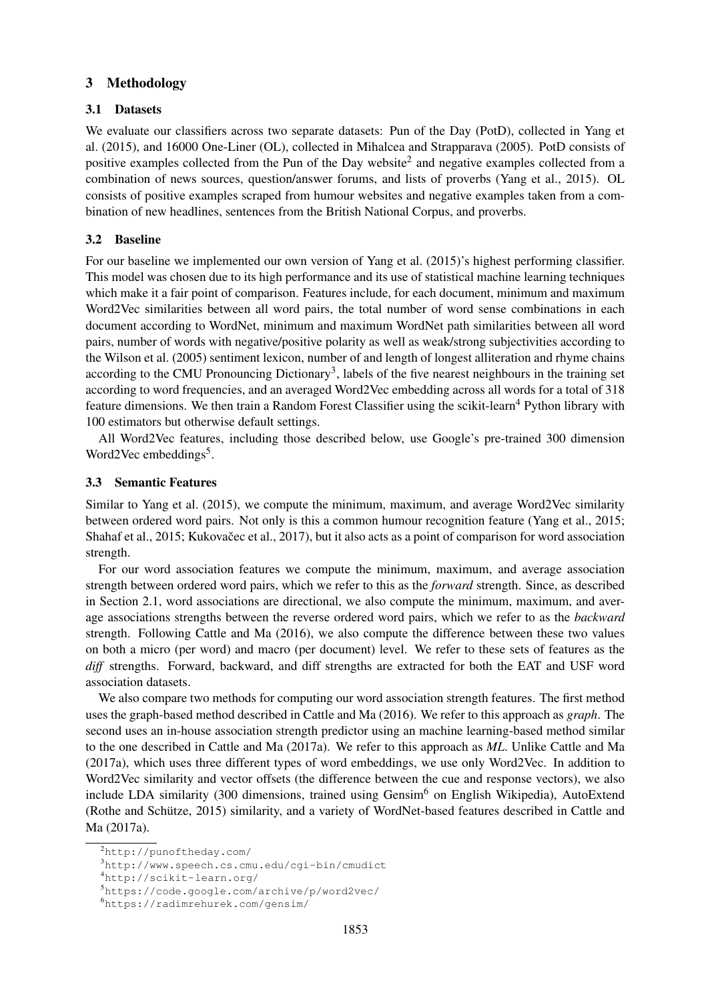## 3 Methodology

## 3.1 Datasets

We evaluate our classifiers across two separate datasets: Pun of the Day (PotD), collected in Yang et al. (2015), and 16000 One-Liner (OL), collected in Mihalcea and Strapparava (2005). PotD consists of positive examples collected from the Pun of the Day website<sup>2</sup> and negative examples collected from a combination of news sources, question/answer forums, and lists of proverbs (Yang et al., 2015). OL consists of positive examples scraped from humour websites and negative examples taken from a combination of new headlines, sentences from the British National Corpus, and proverbs.

## 3.2 Baseline

For our baseline we implemented our own version of Yang et al. (2015)'s highest performing classifier. This model was chosen due to its high performance and its use of statistical machine learning techniques which make it a fair point of comparison. Features include, for each document, minimum and maximum Word2Vec similarities between all word pairs, the total number of word sense combinations in each document according to WordNet, minimum and maximum WordNet path similarities between all word pairs, number of words with negative/positive polarity as well as weak/strong subjectivities according to the Wilson et al. (2005) sentiment lexicon, number of and length of longest alliteration and rhyme chains according to the CMU Pronouncing Dictionary<sup>3</sup>, labels of the five nearest neighbours in the training set according to word frequencies, and an averaged Word2Vec embedding across all words for a total of 318 feature dimensions. We then train a Random Forest Classifier using the scikit-learn<sup>4</sup> Python library with 100 estimators but otherwise default settings.

All Word2Vec features, including those described below, use Google's pre-trained 300 dimension Word2Vec embeddings<sup>5</sup>.

### 3.3 Semantic Features

Similar to Yang et al. (2015), we compute the minimum, maximum, and average Word2Vec similarity between ordered word pairs. Not only is this a common humour recognition feature (Yang et al., 2015; Shahaf et al., 2015; Kukovačec et al., 2017), but it also acts as a point of comparison for word association strength.

For our word association features we compute the minimum, maximum, and average association strength between ordered word pairs, which we refer to this as the *forward* strength. Since, as described in Section 2.1, word associations are directional, we also compute the minimum, maximum, and average associations strengths between the reverse ordered word pairs, which we refer to as the *backward* strength. Following Cattle and Ma (2016), we also compute the difference between these two values on both a micro (per word) and macro (per document) level. We refer to these sets of features as the *diff* strengths. Forward, backward, and diff strengths are extracted for both the EAT and USF word association datasets.

We also compare two methods for computing our word association strength features. The first method uses the graph-based method described in Cattle and Ma (2016). We refer to this approach as *graph*. The second uses an in-house association strength predictor using an machine learning-based method similar to the one described in Cattle and Ma (2017a). We refer to this approach as *ML*. Unlike Cattle and Ma (2017a), which uses three different types of word embeddings, we use only Word2Vec. In addition to Word2Vec similarity and vector offsets (the difference between the cue and response vectors), we also include LDA similarity (300 dimensions, trained using Gensim<sup>6</sup> on English Wikipedia), AutoExtend (Rothe and Schütze, 2015) similarity, and a variety of WordNet-based features described in Cattle and Ma (2017a).

<sup>2</sup>http://punoftheday.com/

<sup>3</sup>http://www.speech.cs.cmu.edu/cgi-bin/cmudict

<sup>4</sup>http://scikit-learn.org/

<sup>5</sup>https://code.google.com/archive/p/word2vec/

<sup>6</sup>https://radimrehurek.com/gensim/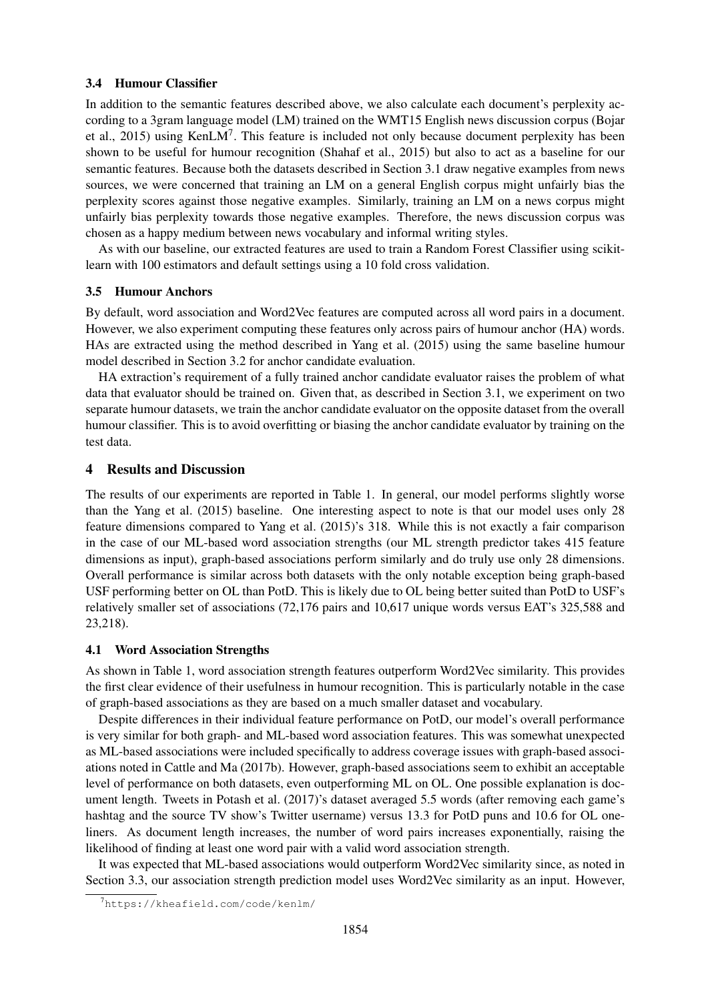#### 3.4 Humour Classifier

In addition to the semantic features described above, we also calculate each document's perplexity according to a 3gram language model (LM) trained on the WMT15 English news discussion corpus (Bojar et al., 2015) using KenLM<sup>7</sup>. This feature is included not only because document perplexity has been shown to be useful for humour recognition (Shahaf et al., 2015) but also to act as a baseline for our semantic features. Because both the datasets described in Section 3.1 draw negative examples from news sources, we were concerned that training an LM on a general English corpus might unfairly bias the perplexity scores against those negative examples. Similarly, training an LM on a news corpus might unfairly bias perplexity towards those negative examples. Therefore, the news discussion corpus was chosen as a happy medium between news vocabulary and informal writing styles.

As with our baseline, our extracted features are used to train a Random Forest Classifier using scikitlearn with 100 estimators and default settings using a 10 fold cross validation.

### 3.5 Humour Anchors

By default, word association and Word2Vec features are computed across all word pairs in a document. However, we also experiment computing these features only across pairs of humour anchor (HA) words. HAs are extracted using the method described in Yang et al. (2015) using the same baseline humour model described in Section 3.2 for anchor candidate evaluation.

HA extraction's requirement of a fully trained anchor candidate evaluator raises the problem of what data that evaluator should be trained on. Given that, as described in Section 3.1, we experiment on two separate humour datasets, we train the anchor candidate evaluator on the opposite dataset from the overall humour classifier. This is to avoid overfitting or biasing the anchor candidate evaluator by training on the test data.

### 4 Results and Discussion

The results of our experiments are reported in Table 1. In general, our model performs slightly worse than the Yang et al. (2015) baseline. One interesting aspect to note is that our model uses only 28 feature dimensions compared to Yang et al. (2015)'s 318. While this is not exactly a fair comparison in the case of our ML-based word association strengths (our ML strength predictor takes 415 feature dimensions as input), graph-based associations perform similarly and do truly use only 28 dimensions. Overall performance is similar across both datasets with the only notable exception being graph-based USF performing better on OL than PotD. This is likely due to OL being better suited than PotD to USF's relatively smaller set of associations (72,176 pairs and 10,617 unique words versus EAT's 325,588 and 23,218).

#### 4.1 Word Association Strengths

As shown in Table 1, word association strength features outperform Word2Vec similarity. This provides the first clear evidence of their usefulness in humour recognition. This is particularly notable in the case of graph-based associations as they are based on a much smaller dataset and vocabulary.

Despite differences in their individual feature performance on PotD, our model's overall performance is very similar for both graph- and ML-based word association features. This was somewhat unexpected as ML-based associations were included specifically to address coverage issues with graph-based associations noted in Cattle and Ma (2017b). However, graph-based associations seem to exhibit an acceptable level of performance on both datasets, even outperforming ML on OL. One possible explanation is document length. Tweets in Potash et al. (2017)'s dataset averaged 5.5 words (after removing each game's hashtag and the source TV show's Twitter username) versus 13.3 for PotD puns and 10.6 for OL oneliners. As document length increases, the number of word pairs increases exponentially, raising the likelihood of finding at least one word pair with a valid word association strength.

It was expected that ML-based associations would outperform Word2Vec similarity since, as noted in Section 3.3, our association strength prediction model uses Word2Vec similarity as an input. However,

<sup>7</sup>https://kheafield.com/code/kenlm/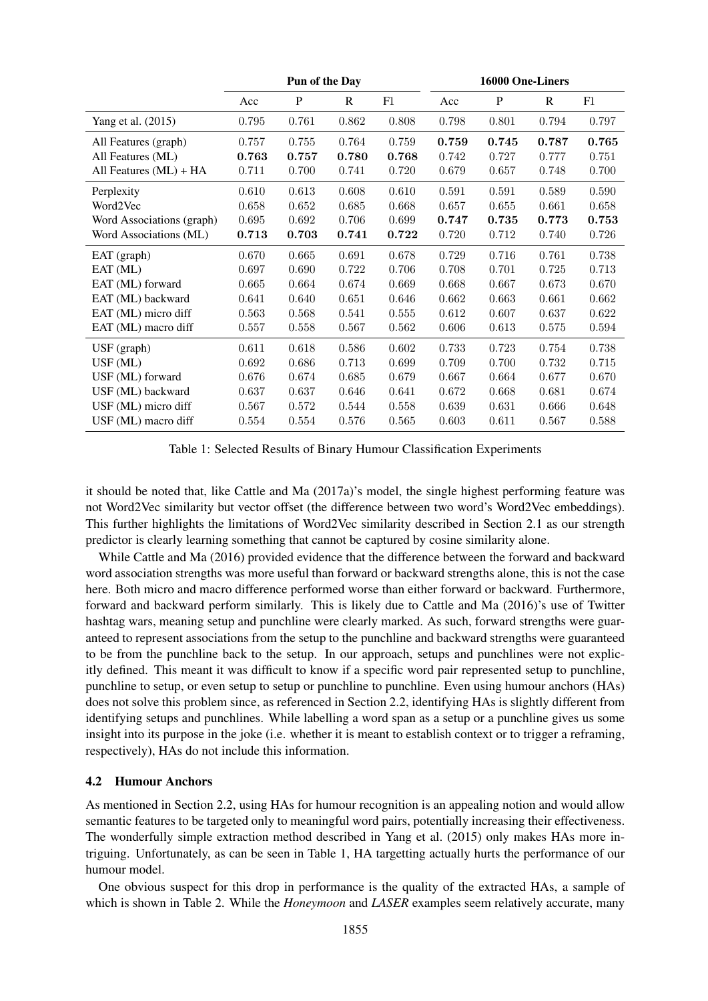|                           | Pun of the Day |       |       |       | 16000 One-Liners |       |       |       |
|---------------------------|----------------|-------|-------|-------|------------------|-------|-------|-------|
|                           | Acc            | P     | R     | F1    | Acc              | P     | R     | F1    |
| Yang et al. (2015)        | 0.795          | 0.761 | 0.862 | 0.808 | 0.798            | 0.801 | 0.794 | 0.797 |
| All Features (graph)      | 0.757          | 0.755 | 0.764 | 0.759 | 0.759            | 0.745 | 0.787 | 0.765 |
| All Features (ML)         | 0.763          | 0.757 | 0.780 | 0.768 | 0.742            | 0.727 | 0.777 | 0.751 |
| All Features (ML) + HA    | 0.711          | 0.700 | 0.741 | 0.720 | 0.679            | 0.657 | 0.748 | 0.700 |
| Perplexity                | 0.610          | 0.613 | 0.608 | 0.610 | 0.591            | 0.591 | 0.589 | 0.590 |
| Word2Vec                  | 0.658          | 0.652 | 0.685 | 0.668 | 0.657            | 0.655 | 0.661 | 0.658 |
| Word Associations (graph) | 0.695          | 0.692 | 0.706 | 0.699 | 0.747            | 0.735 | 0.773 | 0.753 |
| Word Associations (ML)    | 0.713          | 0.703 | 0.741 | 0.722 | 0.720            | 0.712 | 0.740 | 0.726 |
| EAT (graph)               | 0.670          | 0.665 | 0.691 | 0.678 | 0.729            | 0.716 | 0.761 | 0.738 |
| EAT (ML)                  | 0.697          | 0.690 | 0.722 | 0.706 | 0.708            | 0.701 | 0.725 | 0.713 |
| EAT (ML) forward          | 0.665          | 0.664 | 0.674 | 0.669 | 0.668            | 0.667 | 0.673 | 0.670 |
| EAT (ML) backward         | 0.641          | 0.640 | 0.651 | 0.646 | 0.662            | 0.663 | 0.661 | 0.662 |
| EAT (ML) micro diff       | 0.563          | 0.568 | 0.541 | 0.555 | 0.612            | 0.607 | 0.637 | 0.622 |
| EAT (ML) macro diff       | 0.557          | 0.558 | 0.567 | 0.562 | 0.606            | 0.613 | 0.575 | 0.594 |
| $USF$ (graph)             | 0.611          | 0.618 | 0.586 | 0.602 | 0.733            | 0.723 | 0.754 | 0.738 |
| USF (ML)                  | 0.692          | 0.686 | 0.713 | 0.699 | 0.709            | 0.700 | 0.732 | 0.715 |
| USF (ML) forward          | 0.676          | 0.674 | 0.685 | 0.679 | 0.667            | 0.664 | 0.677 | 0.670 |
| USF (ML) backward         | 0.637          | 0.637 | 0.646 | 0.641 | 0.672            | 0.668 | 0.681 | 0.674 |
| USF (ML) micro diff       | 0.567          | 0.572 | 0.544 | 0.558 | 0.639            | 0.631 | 0.666 | 0.648 |
| USF (ML) macro diff       | 0.554          | 0.554 | 0.576 | 0.565 | 0.603            | 0.611 | 0.567 | 0.588 |

Table 1: Selected Results of Binary Humour Classification Experiments

it should be noted that, like Cattle and Ma (2017a)'s model, the single highest performing feature was not Word2Vec similarity but vector offset (the difference between two word's Word2Vec embeddings). This further highlights the limitations of Word2Vec similarity described in Section 2.1 as our strength predictor is clearly learning something that cannot be captured by cosine similarity alone.

While Cattle and Ma (2016) provided evidence that the difference between the forward and backward word association strengths was more useful than forward or backward strengths alone, this is not the case here. Both micro and macro difference performed worse than either forward or backward. Furthermore, forward and backward perform similarly. This is likely due to Cattle and Ma (2016)'s use of Twitter hashtag wars, meaning setup and punchline were clearly marked. As such, forward strengths were guaranteed to represent associations from the setup to the punchline and backward strengths were guaranteed to be from the punchline back to the setup. In our approach, setups and punchlines were not explicitly defined. This meant it was difficult to know if a specific word pair represented setup to punchline, punchline to setup, or even setup to setup or punchline to punchline. Even using humour anchors (HAs) does not solve this problem since, as referenced in Section 2.2, identifying HAs is slightly different from identifying setups and punchlines. While labelling a word span as a setup or a punchline gives us some insight into its purpose in the joke (i.e. whether it is meant to establish context or to trigger a reframing, respectively), HAs do not include this information.

## 4.2 Humour Anchors

As mentioned in Section 2.2, using HAs for humour recognition is an appealing notion and would allow semantic features to be targeted only to meaningful word pairs, potentially increasing their effectiveness. The wonderfully simple extraction method described in Yang et al. (2015) only makes HAs more intriguing. Unfortunately, as can be seen in Table 1, HA targetting actually hurts the performance of our humour model.

One obvious suspect for this drop in performance is the quality of the extracted HAs, a sample of which is shown in Table 2. While the *Honeymoon* and *LASER* examples seem relatively accurate, many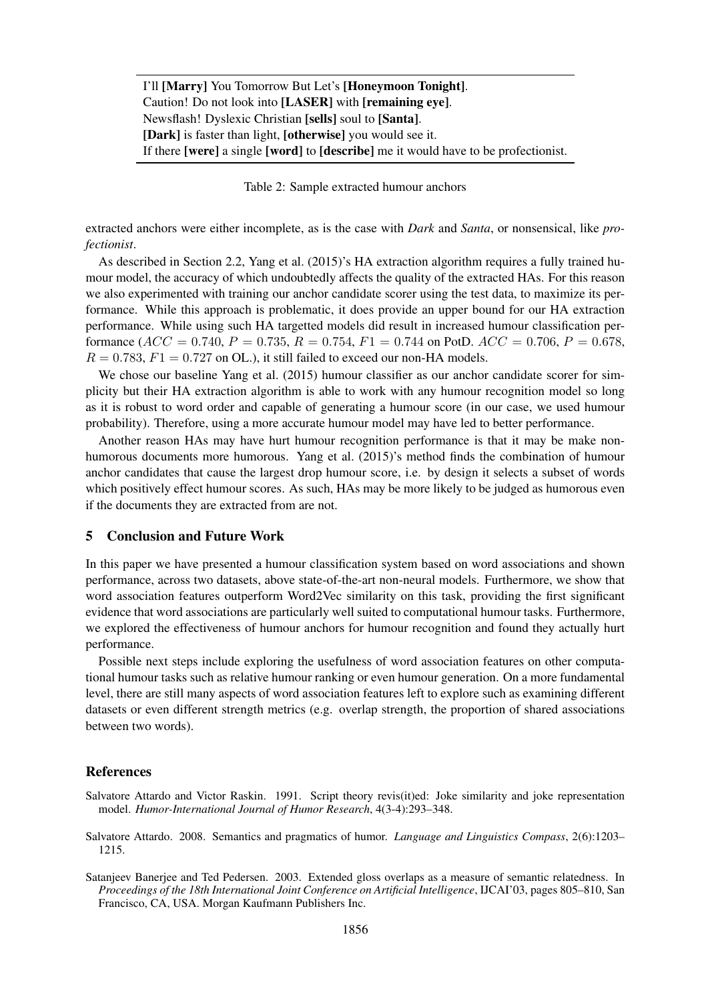I'll [Marry] You Tomorrow But Let's [Honeymoon Tonight]. Caution! Do not look into [LASER] with [remaining eye]. Newsflash! Dyslexic Christian [sells] soul to [Santa]. [Dark] is faster than light, [otherwise] you would see it. If there [were] a single [word] to [describe] me it would have to be profectionist.

Table 2: Sample extracted humour anchors

extracted anchors were either incomplete, as is the case with *Dark* and *Santa*, or nonsensical, like *profectionist*.

As described in Section 2.2, Yang et al. (2015)'s HA extraction algorithm requires a fully trained humour model, the accuracy of which undoubtedly affects the quality of the extracted HAs. For this reason we also experimented with training our anchor candidate scorer using the test data, to maximize its performance. While this approach is problematic, it does provide an upper bound for our HA extraction performance. While using such HA targetted models did result in increased humour classification performance ( $ACC = 0.740$ ,  $P = 0.735$ ,  $R = 0.754$ ,  $F1 = 0.744$  on PotD.  $ACC = 0.706$ ,  $P = 0.678$ ,  $R = 0.783$ ,  $F1 = 0.727$  on OL.), it still failed to exceed our non-HA models.

We chose our baseline Yang et al. (2015) humour classifier as our anchor candidate scorer for simplicity but their HA extraction algorithm is able to work with any humour recognition model so long as it is robust to word order and capable of generating a humour score (in our case, we used humour probability). Therefore, using a more accurate humour model may have led to better performance.

Another reason HAs may have hurt humour recognition performance is that it may be make nonhumorous documents more humorous. Yang et al. (2015)'s method finds the combination of humour anchor candidates that cause the largest drop humour score, i.e. by design it selects a subset of words which positively effect humour scores. As such, HAs may be more likely to be judged as humorous even if the documents they are extracted from are not.

#### 5 Conclusion and Future Work

In this paper we have presented a humour classification system based on word associations and shown performance, across two datasets, above state-of-the-art non-neural models. Furthermore, we show that word association features outperform Word2Vec similarity on this task, providing the first significant evidence that word associations are particularly well suited to computational humour tasks. Furthermore, we explored the effectiveness of humour anchors for humour recognition and found they actually hurt performance.

Possible next steps include exploring the usefulness of word association features on other computational humour tasks such as relative humour ranking or even humour generation. On a more fundamental level, there are still many aspects of word association features left to explore such as examining different datasets or even different strength metrics (e.g. overlap strength, the proportion of shared associations between two words).

### **References**

Salvatore Attardo and Victor Raskin. 1991. Script theory revis(it)ed: Joke similarity and joke representation model. *Humor-International Journal of Humor Research*, 4(3-4):293–348.

Salvatore Attardo. 2008. Semantics and pragmatics of humor. *Language and Linguistics Compass*, 2(6):1203– 1215.

Satanjeev Banerjee and Ted Pedersen. 2003. Extended gloss overlaps as a measure of semantic relatedness. In *Proceedings of the 18th International Joint Conference on Artificial Intelligence*, IJCAI'03, pages 805–810, San Francisco, CA, USA. Morgan Kaufmann Publishers Inc.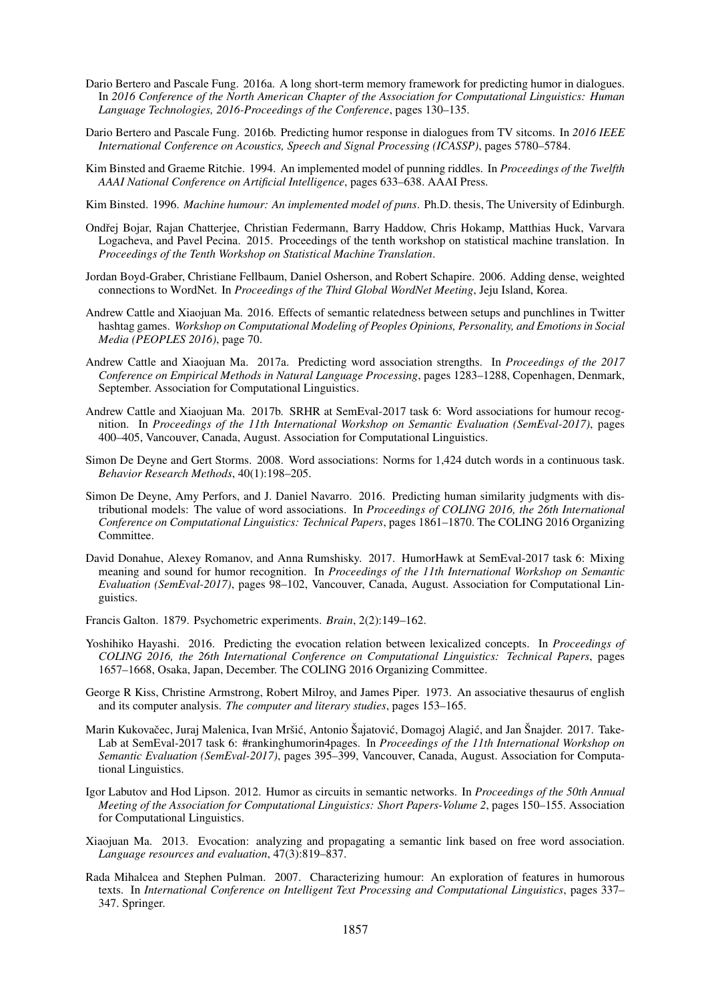- Dario Bertero and Pascale Fung. 2016a. A long short-term memory framework for predicting humor in dialogues. In *2016 Conference of the North American Chapter of the Association for Computational Linguistics: Human Language Technologies, 2016-Proceedings of the Conference*, pages 130–135.
- Dario Bertero and Pascale Fung. 2016b. Predicting humor response in dialogues from TV sitcoms. In *2016 IEEE International Conference on Acoustics, Speech and Signal Processing (ICASSP)*, pages 5780–5784.
- Kim Binsted and Graeme Ritchie. 1994. An implemented model of punning riddles. In *Proceedings of the Twelfth AAAI National Conference on Artificial Intelligence*, pages 633–638. AAAI Press.
- Kim Binsted. 1996. *Machine humour: An implemented model of puns*. Ph.D. thesis, The University of Edinburgh.
- Ondřej Bojar, Rajan Chatterjee, Christian Federmann, Barry Haddow, Chris Hokamp, Matthias Huck, Varvara Logacheva, and Pavel Pecina. 2015. Proceedings of the tenth workshop on statistical machine translation. In *Proceedings of the Tenth Workshop on Statistical Machine Translation*.
- Jordan Boyd-Graber, Christiane Fellbaum, Daniel Osherson, and Robert Schapire. 2006. Adding dense, weighted connections to WordNet. In *Proceedings of the Third Global WordNet Meeting*, Jeju Island, Korea.
- Andrew Cattle and Xiaojuan Ma. 2016. Effects of semantic relatedness between setups and punchlines in Twitter hashtag games. *Workshop on Computational Modeling of Peoples Opinions, Personality, and Emotions in Social Media (PEOPLES 2016)*, page 70.
- Andrew Cattle and Xiaojuan Ma. 2017a. Predicting word association strengths. In *Proceedings of the 2017 Conference on Empirical Methods in Natural Language Processing*, pages 1283–1288, Copenhagen, Denmark, September. Association for Computational Linguistics.
- Andrew Cattle and Xiaojuan Ma. 2017b. SRHR at SemEval-2017 task 6: Word associations for humour recognition. In *Proceedings of the 11th International Workshop on Semantic Evaluation (SemEval-2017)*, pages 400–405, Vancouver, Canada, August. Association for Computational Linguistics.
- Simon De Deyne and Gert Storms. 2008. Word associations: Norms for 1,424 dutch words in a continuous task. *Behavior Research Methods*, 40(1):198–205.
- Simon De Deyne, Amy Perfors, and J. Daniel Navarro. 2016. Predicting human similarity judgments with distributional models: The value of word associations. In *Proceedings of COLING 2016, the 26th International Conference on Computational Linguistics: Technical Papers*, pages 1861–1870. The COLING 2016 Organizing Committee.
- David Donahue, Alexey Romanov, and Anna Rumshisky. 2017. HumorHawk at SemEval-2017 task 6: Mixing meaning and sound for humor recognition. In *Proceedings of the 11th International Workshop on Semantic Evaluation (SemEval-2017)*, pages 98–102, Vancouver, Canada, August. Association for Computational Linguistics.
- Francis Galton. 1879. Psychometric experiments. *Brain*, 2(2):149–162.
- Yoshihiko Hayashi. 2016. Predicting the evocation relation between lexicalized concepts. In *Proceedings of COLING 2016, the 26th International Conference on Computational Linguistics: Technical Papers*, pages 1657–1668, Osaka, Japan, December. The COLING 2016 Organizing Committee.
- George R Kiss, Christine Armstrong, Robert Milroy, and James Piper. 1973. An associative thesaurus of english and its computer analysis. *The computer and literary studies*, pages 153–165.
- Marin Kukovačec, Juraj Malenica, Ivan Mršić, Antonio Šajatović, Domagoj Alagić, and Jan Šnajder. 2017. Take-Lab at SemEval-2017 task 6: #rankinghumorin4pages. In *Proceedings of the 11th International Workshop on Semantic Evaluation (SemEval-2017)*, pages 395–399, Vancouver, Canada, August. Association for Computational Linguistics.
- Igor Labutov and Hod Lipson. 2012. Humor as circuits in semantic networks. In *Proceedings of the 50th Annual Meeting of the Association for Computational Linguistics: Short Papers-Volume 2*, pages 150–155. Association for Computational Linguistics.
- Xiaojuan Ma. 2013. Evocation: analyzing and propagating a semantic link based on free word association. *Language resources and evaluation*, 47(3):819–837.
- Rada Mihalcea and Stephen Pulman. 2007. Characterizing humour: An exploration of features in humorous texts. In *International Conference on Intelligent Text Processing and Computational Linguistics*, pages 337– 347. Springer.